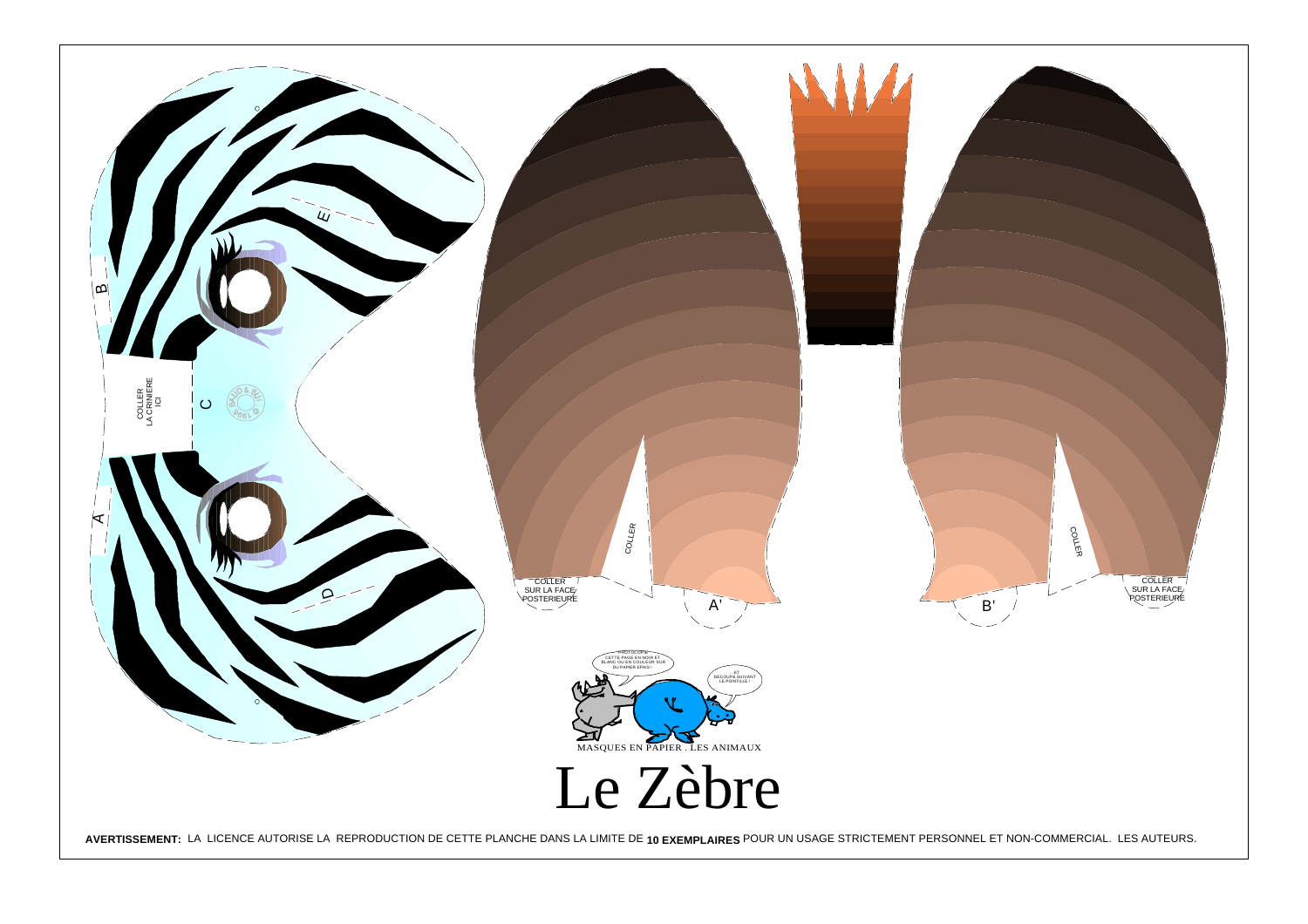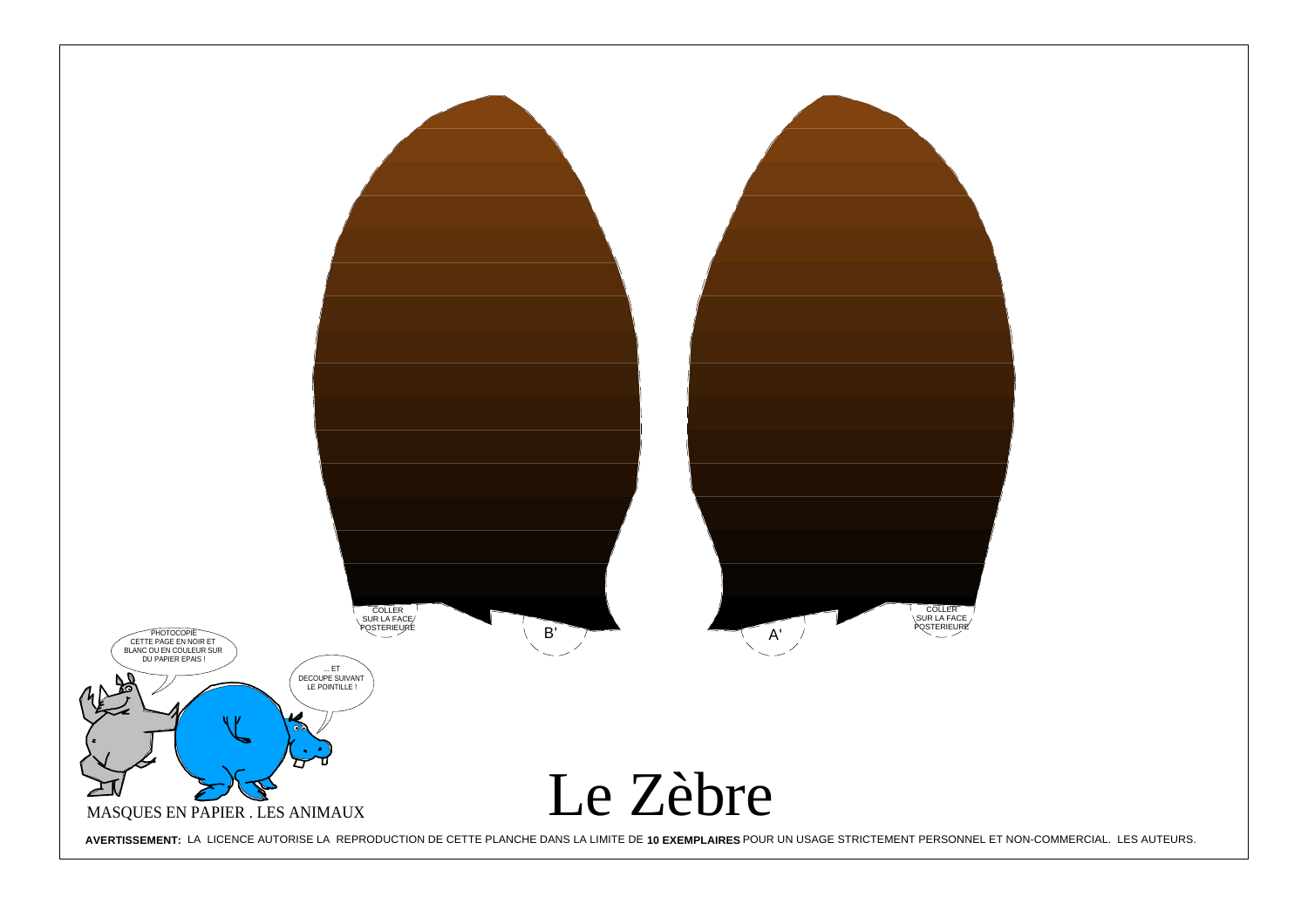